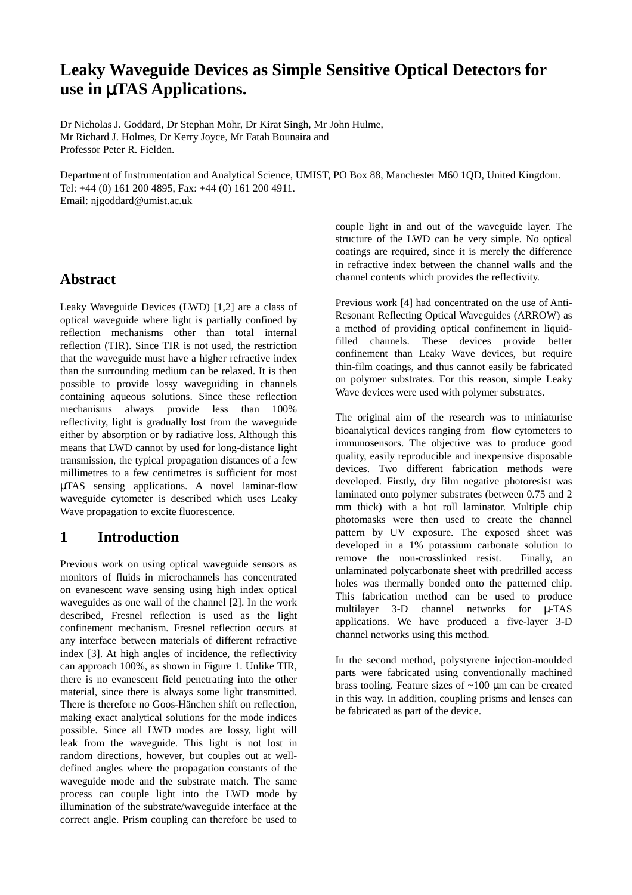# **Leaky Waveguide Devices as Simple Sensitive Optical Detectors for use in** µ**TAS Applications.**

Dr Nicholas J. Goddard, Dr Stephan Mohr, Dr Kirat Singh, Mr John Hulme, Mr Richard J. Holmes, Dr Kerry Joyce, Mr Fatah Bounaira and Professor Peter R. Fielden.

Department of Instrumentation and Analytical Science, UMIST, PO Box 88, Manchester M60 1QD, United Kingdom. Tel: +44 (0) 161 200 4895, Fax: +44 (0) 161 200 4911. Email: njgoddard@umist.ac.uk

### **Abstract**

Leaky Waveguide Devices (LWD) [1,2] are a class of optical waveguide where light is partially confined by reflection mechanisms other than total internal reflection (TIR). Since TIR is not used, the restriction that the waveguide must have a higher refractive index than the surrounding medium can be relaxed. It is then possible to provide lossy waveguiding in channels containing aqueous solutions. Since these reflection mechanisms always provide less than 100% reflectivity, light is gradually lost from the waveguide either by absorption or by radiative loss. Although this means that LWD cannot by used for long-distance light transmission, the typical propagation distances of a few millimetres to a few centimetres is sufficient for most µTAS sensing applications. A novel laminar-flow waveguide cytometer is described which uses Leaky Wave propagation to excite fluorescence.

## **1 Introduction**

Previous work on using optical waveguide sensors as monitors of fluids in microchannels has concentrated on evanescent wave sensing using high index optical waveguides as one wall of the channel [2]. In the work described, Fresnel reflection is used as the light confinement mechanism. Fresnel reflection occurs at any interface between materials of different refractive index [3]. At high angles of incidence, the reflectivity can approach 100%, as shown in Figure 1. Unlike TIR, there is no evanescent field penetrating into the other material, since there is always some light transmitted. There is therefore no Goos-Hänchen shift on reflection, making exact analytical solutions for the mode indices possible. Since all LWD modes are lossy, light will leak from the waveguide. This light is not lost in random directions, however, but couples out at welldefined angles where the propagation constants of the waveguide mode and the substrate match. The same process can couple light into the LWD mode by illumination of the substrate/waveguide interface at the correct angle. Prism coupling can therefore be used to couple light in and out of the waveguide layer. The structure of the LWD can be very simple. No optical coatings are required, since it is merely the difference in refractive index between the channel walls and the channel contents which provides the reflectivity.

Previous work [4] had concentrated on the use of Anti-Resonant Reflecting Optical Waveguides (ARROW) as a method of providing optical confinement in liquidfilled channels. These devices provide better confinement than Leaky Wave devices, but require thin-film coatings, and thus cannot easily be fabricated on polymer substrates. For this reason, simple Leaky Wave devices were used with polymer substrates.

The original aim of the research was to miniaturise bioanalytical devices ranging from flow cytometers to immunosensors. The objective was to produce good quality, easily reproducible and inexpensive disposable devices. Two different fabrication methods were developed. Firstly, dry film negative photoresist was laminated onto polymer substrates (between 0.75 and 2 mm thick) with a hot roll laminator. Multiple chip photomasks were then used to create the channel pattern by UV exposure. The exposed sheet was developed in a 1% potassium carbonate solution to remove the non-crosslinked resist. Finally, an unlaminated polycarbonate sheet with predrilled access holes was thermally bonded onto the patterned chip. This fabrication method can be used to produce multilayer 3-D channel networks for µ-TAS applications. We have produced a five-layer 3-D channel networks using this method.

In the second method, polystyrene injection-moulded parts were fabricated using conventionally machined brass tooling. Feature sizes of  $\sim 100 \mu m$  can be created in this way. In addition, coupling prisms and lenses can be fabricated as part of the device.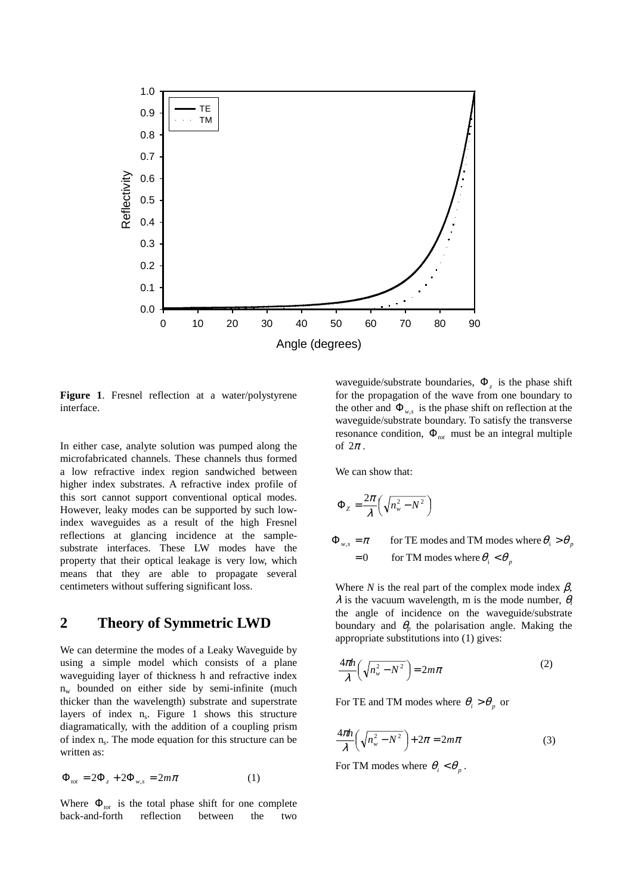

**Figure 1**. Fresnel reflection at a water/polystyrene interface.

In either case, analyte solution was pumped along the microfabricated channels. These channels thus formed a low refractive index region sandwiched between higher index substrates. A refractive index profile of this sort cannot support conventional optical modes. However, leaky modes can be supported by such lowindex waveguides as a result of the high Fresnel reflections at glancing incidence at the samplesubstrate interfaces. These LW modes have the property that their optical leakage is very low, which means that they are able to propagate several centimeters without suffering significant loss.

#### **2 Theory of Symmetric LWD**

We can determine the modes of a Leaky Waveguide by using a simple model which consists of a plane waveguiding layer of thickness h and refractive index  $n_w$  bounded on either side by semi-infinite (much thicker than the wavelength) substrate and superstrate layers of index  $n_s$ . Figure 1 shows this structure diagramatically, with the addition of a coupling prism of index n<sub>s</sub>. The mode equation for this structure can be written as:

$$
\Phi_{\text{tot}} = 2\Phi_z + 2\Phi_{w,s} = 2m\pi \tag{1}
$$

Where  $\Phi_{tot}$  is the total phase shift for one complete back-and-forth reflection between the two waveguide/substrate boundaries, Φ*z* is the phase shift for the propagation of the wave from one boundary to the other and  $\Phi_{w,s}$  is the phase shift on reflection at the waveguide/substrate boundary. To satisfy the transverse resonance condition,  $\Phi_{tot}$  must be an integral multiple of  $2\pi$ .

We can show that:

$$
\Phi_{z} = \frac{2\pi}{\lambda} \left( \sqrt{n_{w}^{2} - N^{2}} \right)
$$

 $= 0$  for TM modes where  $\theta_i < \theta_p$  $\Phi_{w,s} = \pi$  for TE modes and TM modes where  $\theta_i > \theta_p$ 

Where *N* is the real part of the complex mode index  $\beta$ ,  $\lambda$  is the vacuum wavelength, m is the mode number,  $\theta_i$ the angle of incidence on the waveguide/substrate boundary and  $\theta_p$  the polarisation angle. Making the appropriate substitutions into (1) gives:

$$
\frac{4\pi h}{\lambda} \left( \sqrt{n_w^2 - N^2} \right) = 2m\pi \tag{2}
$$

For TE and TM modes where  $\theta_i > \theta_p$  or

$$
\frac{4\pi h}{\lambda} \left( \sqrt{n_w^2 - N^2} \right) + 2\pi = 2m\pi
$$
 (3)

For TM modes where  $\theta_i < \theta_n$ .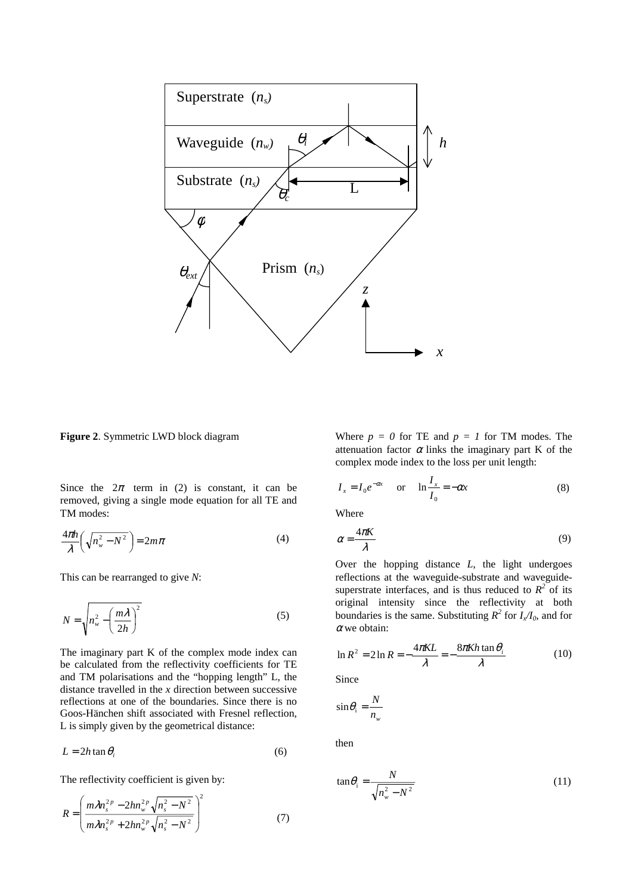

**Figure 2**. Symmetric LWD block diagram

Since the  $2\pi$  term in (2) is constant, it can be removed, giving a single mode equation for all TE and TM modes:

$$
\frac{4\pi h}{\lambda} \left( \sqrt{n_w^2 - N^2} \right) = 2m\pi \tag{4}
$$

This can be rearranged to give *N*:

$$
N = \sqrt{n_w^2 - \left(\frac{m\lambda}{2h}\right)^2}
$$
 (5)

The imaginary part K of the complex mode index can be calculated from the reflectivity coefficients for TE and TM polarisations and the "hopping length" L, the distance travelled in the *x* direction between successive reflections at one of the boundaries. Since there is no Goos-Hänchen shift associated with Fresnel reflection, L is simply given by the geometrical distance:

$$
L = 2h \tan \theta_i \tag{6}
$$

The reflectivity coefficient is given by:

$$
R = \left(\frac{m\lambda n_s^{2p} - 2hn_w^{2p}\sqrt{n_s^2 - N^2}}{m\lambda n_s^{2p} + 2hn_w^{2p}\sqrt{n_s^2 - N^2}}\right)^2\tag{7}
$$

Where  $p = 0$  for TE and  $p = 1$  for TM modes. The attenuation factor  $\alpha$  links the imaginary part K of the complex mode index to the loss per unit length:

$$
I_x = I_0 e^{-\alpha x} \quad \text{or} \quad \ln \frac{I_x}{I_0} = -\alpha x \tag{8}
$$

Where

$$
\alpha = \frac{4\pi K}{\lambda} \tag{9}
$$

Over the hopping distance *L*, the light undergoes reflections at the waveguide-substrate and waveguidesuperstrate interfaces, and is thus reduced to  $R^2$  of its original intensity since the reflectivity at both boundaries is the same. Substituting  $R^2$  for  $I_x/I_0$ , and for  $\alpha$  we obtain:

$$
\ln R^2 = 2 \ln R = -\frac{4\pi KL}{\lambda} = -\frac{8\pi Kh \tan \theta_i}{\lambda}
$$
 (10)

Since

$$
\sin \theta_{\rm i} = \frac{N}{n_{\rm w}}
$$

then

$$
\tan \theta_i = \frac{N}{\sqrt{n_w^2 - N^2}}\tag{11}
$$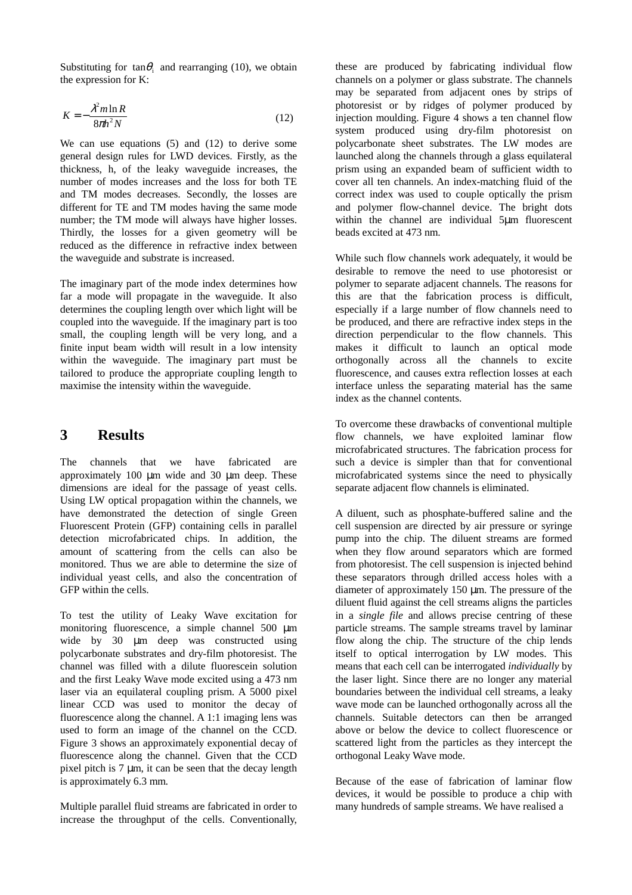Substituting for  $tan\theta_i$  and rearranging (10), we obtain the expression for K:

$$
K = -\frac{\lambda^2 m \ln R}{8\pi h^2 N} \tag{12}
$$

We can use equations (5) and (12) to derive some general design rules for LWD devices. Firstly, as the thickness, h, of the leaky waveguide increases, the number of modes increases and the loss for both TE and TM modes decreases. Secondly, the losses are different for TE and TM modes having the same mode number; the TM mode will always have higher losses. Thirdly, the losses for a given geometry will be reduced as the difference in refractive index between the waveguide and substrate is increased.

The imaginary part of the mode index determines how far a mode will propagate in the waveguide. It also determines the coupling length over which light will be coupled into the waveguide. If the imaginary part is too small, the coupling length will be very long, and a finite input beam width will result in a low intensity within the waveguide. The imaginary part must be tailored to produce the appropriate coupling length to maximise the intensity within the waveguide.

#### **3 Results**

The channels that we have fabricated are approximately 100 µm wide and 30 µm deep. These dimensions are ideal for the passage of yeast cells. Using LW optical propagation within the channels, we have demonstrated the detection of single Green Fluorescent Protein (GFP) containing cells in parallel detection microfabricated chips. In addition, the amount of scattering from the cells can also be monitored. Thus we are able to determine the size of individual yeast cells, and also the concentration of GFP within the cells.

To test the utility of Leaky Wave excitation for monitoring fluorescence, a simple channel 500 µm wide by 30  $\mu$ m deep was constructed using polycarbonate substrates and dry-film photoresist. The channel was filled with a dilute fluorescein solution and the first Leaky Wave mode excited using a 473 nm laser via an equilateral coupling prism. A 5000 pixel linear CCD was used to monitor the decay of fluorescence along the channel. A 1:1 imaging lens was used to form an image of the channel on the CCD. Figure 3 shows an approximately exponential decay of fluorescence along the channel. Given that the CCD pixel pitch is 7 µm, it can be seen that the decay length is approximately 6.3 mm.

Multiple parallel fluid streams are fabricated in order to increase the throughput of the cells. Conventionally,

these are produced by fabricating individual flow channels on a polymer or glass substrate. The channels may be separated from adjacent ones by strips of photoresist or by ridges of polymer produced by injection moulding. Figure 4 shows a ten channel flow system produced using dry-film photoresist on polycarbonate sheet substrates. The LW modes are launched along the channels through a glass equilateral prism using an expanded beam of sufficient width to cover all ten channels. An index-matching fluid of the correct index was used to couple optically the prism and polymer flow-channel device. The bright dots within the channel are individual 5um fluorescent beads excited at 473 nm.

While such flow channels work adequately, it would be desirable to remove the need to use photoresist or polymer to separate adjacent channels. The reasons for this are that the fabrication process is difficult, especially if a large number of flow channels need to be produced, and there are refractive index steps in the direction perpendicular to the flow channels. This makes it difficult to launch an optical mode orthogonally across all the channels to excite fluorescence, and causes extra reflection losses at each interface unless the separating material has the same index as the channel contents.

To overcome these drawbacks of conventional multiple flow channels, we have exploited laminar flow microfabricated structures. The fabrication process for such a device is simpler than that for conventional microfabricated systems since the need to physically separate adjacent flow channels is eliminated.

A diluent, such as phosphate-buffered saline and the cell suspension are directed by air pressure or syringe pump into the chip. The diluent streams are formed when they flow around separators which are formed from photoresist. The cell suspension is injected behind these separators through drilled access holes with a diameter of approximately 150 µm. The pressure of the diluent fluid against the cell streams aligns the particles in a *single file* and allows precise centring of these particle streams. The sample streams travel by laminar flow along the chip. The structure of the chip lends itself to optical interrogation by LW modes. This means that each cell can be interrogated *individually* by the laser light. Since there are no longer any material boundaries between the individual cell streams, a leaky wave mode can be launched orthogonally across all the channels. Suitable detectors can then be arranged above or below the device to collect fluorescence or scattered light from the particles as they intercept the orthogonal Leaky Wave mode.

Because of the ease of fabrication of laminar flow devices, it would be possible to produce a chip with many hundreds of sample streams. We have realised a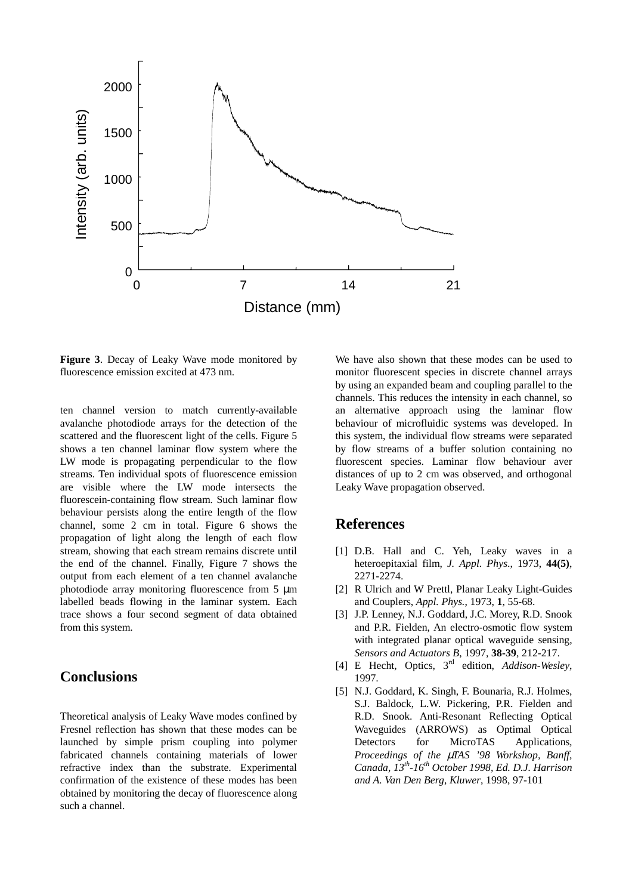

**Figure 3**. Decay of Leaky Wave mode monitored by fluorescence emission excited at 473 nm.

ten channel version to match currently-available avalanche photodiode arrays for the detection of the scattered and the fluorescent light of the cells. Figure 5 shows a ten channel laminar flow system where the LW mode is propagating perpendicular to the flow streams. Ten individual spots of fluorescence emission are visible where the LW mode intersects the fluorescein-containing flow stream. Such laminar flow behaviour persists along the entire length of the flow channel, some 2 cm in total. Figure 6 shows the propagation of light along the length of each flow stream, showing that each stream remains discrete until the end of the channel. Finally, Figure 7 shows the output from each element of a ten channel avalanche photodiode array monitoring fluorescence from 5 µm labelled beads flowing in the laminar system. Each trace shows a four second segment of data obtained from this system.

#### **Conclusions**

Theoretical analysis of Leaky Wave modes confined by Fresnel reflection has shown that these modes can be launched by simple prism coupling into polymer fabricated channels containing materials of lower refractive index than the substrate. Experimental confirmation of the existence of these modes has been obtained by monitoring the decay of fluorescence along such a channel.

We have also shown that these modes can be used to monitor fluorescent species in discrete channel arrays by using an expanded beam and coupling parallel to the channels. This reduces the intensity in each channel, so an alternative approach using the laminar flow behaviour of microfluidic systems was developed. In this system, the individual flow streams were separated by flow streams of a buffer solution containing no fluorescent species. Laminar flow behaviour aver distances of up to 2 cm was observed, and orthogonal Leaky Wave propagation observed.

#### **References**

- [1] D.B. Hall and C. Yeh, Leaky waves in a heteroepitaxial film, *J. Appl. Phys*., 1973, **44(5)**, 2271-2274.
- [2] R Ulrich and W Prettl, Planar Leaky Light-Guides and Couplers, *Appl. Phys.*, 1973, **1**, 55-68.
- [3] J.P. Lenney, N.J. Goddard, J.C. Morey, R.D. Snook and P.R. Fielden, An electro-osmotic flow system with integrated planar optical waveguide sensing, *Sensors and Actuators B*, 1997, **38-39**, 212-217.
- [4] E Hecht, Optics, 3rd edition, *Addison-Wesley*, 1997.
- [5] N.J. Goddard, K. Singh, F. Bounaria, R.J. Holmes, S.J. Baldock, L.W. Pickering, P.R. Fielden and R.D. Snook. Anti-Resonant Reflecting Optical Waveguides (ARROWS) as Optimal Optical Detectors for MicroTAS Applications*, Proceedings of the* µ*TAS '98 Workshop, Banff, Canada, 13th-16th October 1998, Ed. D.J. Harrison and A. Van Den Berg, Kluwer*, 1998, 97-101